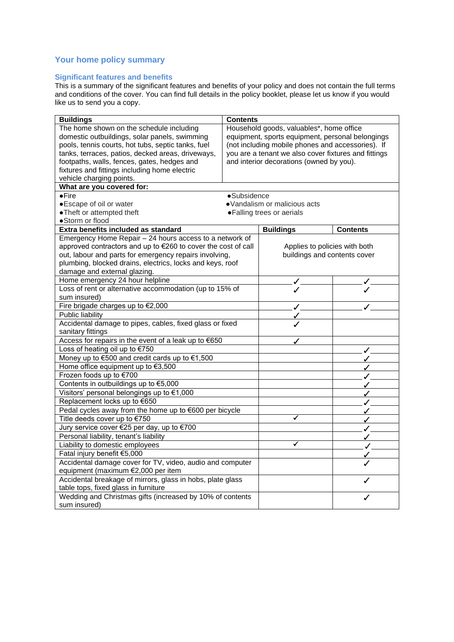# **Your home policy summary**

# **Significant features and benefits**

This is a summary of the significant features and benefits of your policy and does not contain the full terms and conditions of the cover. You can find full details in the policy booklet, please let us know if you would like us to send you a copy.

| <b>Buildings</b>                                              | <b>Contents</b>                                   |                                                               |                 |
|---------------------------------------------------------------|---------------------------------------------------|---------------------------------------------------------------|-----------------|
| The home shown on the schedule including                      |                                                   | Household goods, valuables*, home office                      |                 |
| domestic outbuildings, solar panels, swimming                 |                                                   | equipment, sports equipment, personal belongings              |                 |
| pools, tennis courts, hot tubs, septic tanks, fuel            | (not including mobile phones and accessories). If |                                                               |                 |
| tanks, terraces, patios, decked areas, driveways,             |                                                   | you are a tenant we also cover fixtures and fittings          |                 |
| footpaths, walls, fences, gates, hedges and                   |                                                   | and interior decorations (owned by you).                      |                 |
| fixtures and fittings including home electric                 |                                                   |                                                               |                 |
| vehicle charging points.                                      |                                                   |                                                               |                 |
| What are you covered for:                                     |                                                   |                                                               |                 |
| $\bullet$ Fire                                                | ·Subsidence                                       |                                                               |                 |
| • Escape of oil or water                                      |                                                   | ·Vandalism or malicious acts                                  |                 |
| .Theft or attempted theft<br>• Falling trees or aerials       |                                                   |                                                               |                 |
| •Storm or flood                                               |                                                   |                                                               |                 |
| Extra benefits included as standard                           |                                                   | <b>Buildings</b>                                              | <b>Contents</b> |
| Emergency Home Repair - 24 hours access to a network of       |                                                   |                                                               |                 |
| approved contractors and up to €260 to cover the cost of call |                                                   | Applies to policies with both<br>buildings and contents cover |                 |
| out, labour and parts for emergency repairs involving,        |                                                   |                                                               |                 |
| plumbing, blocked drains, electrics, locks and keys, roof     |                                                   |                                                               |                 |
| damage and external glazing.                                  |                                                   |                                                               |                 |
| Home emergency 24 hour helpline                               |                                                   |                                                               |                 |
| Loss of rent or alternative accommodation (up to 15% of       |                                                   |                                                               |                 |
| sum insured)                                                  |                                                   |                                                               |                 |
| Fire brigade charges up to €2,000                             |                                                   |                                                               |                 |
| Public liability                                              |                                                   |                                                               |                 |
| Accidental damage to pipes, cables, fixed glass or fixed      |                                                   |                                                               |                 |
| sanitary fittings                                             |                                                   |                                                               |                 |
| Access for repairs in the event of a leak up to €650          |                                                   |                                                               |                 |
| Loss of heating oil up to €750                                |                                                   |                                                               | ✓               |
| Money up to €500 and credit cards up to €1,500                |                                                   | ✓                                                             |                 |
| Home office equipment up to €3,500                            |                                                   |                                                               | ✓               |
| Frozen foods up to €700                                       |                                                   |                                                               | ℐ               |
| Contents in outbuildings up to €5,000                         |                                                   |                                                               |                 |
| Visitors' personal belongings up to €1,000                    |                                                   |                                                               | ✓               |
| Replacement locks up to €650                                  |                                                   |                                                               | ✓               |
| Pedal cycles away from the home up to €600 per bicycle        |                                                   |                                                               | ✓               |
| Title deeds cover up to €750                                  |                                                   | √                                                             | ✓               |
| Jury service cover €25 per day, up to €700                    |                                                   |                                                               | ✓               |
| Personal liability, tenant's liability                        |                                                   |                                                               | ✓               |
| Liability to domestic employees                               |                                                   | ✓                                                             | ✓               |
| Fatal injury benefit €5,000                                   |                                                   | ✓                                                             |                 |
| Accidental damage cover for TV, video, audio and computer     |                                                   |                                                               |                 |
| equipment (maximum €2,000 per item                            |                                                   |                                                               |                 |
| Accidental breakage of mirrors, glass in hobs, plate glass    |                                                   |                                                               |                 |
| table tops, fixed glass in furniture                          |                                                   |                                                               |                 |
| Wedding and Christmas gifts (increased by 10% of contents     |                                                   |                                                               |                 |
| sum insured)                                                  |                                                   |                                                               |                 |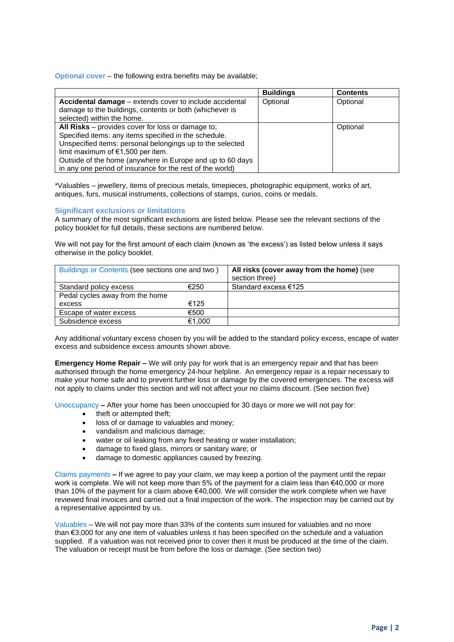**Optional cover** – the following extra benefits may be available;

|                                                           | <b>Buildings</b> | <b>Contents</b> |
|-----------------------------------------------------------|------------------|-----------------|
| Accidental damage – extends cover to include accidental   | Optional         | Optional        |
| damage to the buildings, contents or both (whichever is   |                  |                 |
| selected) within the home.                                |                  |                 |
| All Risks – provides cover for loss or damage to;         |                  | Optional        |
| Specified items: any items specified in the schedule.     |                  |                 |
| Unspecified items: personal belongings up to the selected |                  |                 |
| limit maximum of $€1,500$ per item.                       |                  |                 |
| Outside of the home (anywhere in Europe and up to 60 days |                  |                 |
| in any one period of insurance for the rest of the world) |                  |                 |

\*Valuables – jewellery, items of precious metals, timepieces, photographic equipment, works of art, antiques, furs, musical instruments, collections of stamps, curios, coins or medals.

# **Significant exclusions or limitations**

A summary of the most significant exclusions are listed below. Please see the relevant sections of the policy booklet for full details, these sections are numbered below.

We will not pay for the first amount of each claim (known as 'the excess') as listed below unless it says otherwise in the policy booklet.

| Buildings or Contents (see sections one and two) |        | All risks (cover away from the home) (see<br>section three) |
|--------------------------------------------------|--------|-------------------------------------------------------------|
| Standard policy excess                           | €250   | Standard excess €125                                        |
| Pedal cycles away from the home                  |        |                                                             |
| excess                                           | €125   |                                                             |
| Escape of water excess                           | €500   |                                                             |
| Subsidence excess                                | €1,000 |                                                             |

Any additional voluntary excess chosen by you will be added to the standard policy excess, escape of water excess and subsidence excess amounts shown above.

**Emergency Home Repair –** We will only pay for work that is an emergency repair and that has been authorised through the home emergency 24-hour helpline. An emergency repair is a repair necessary to make your home safe and to prevent further loss or damage by the covered emergencies. The excess will not apply to claims under this section and will not affect your no claims discount. (See section five)

Unoccupancy **–** After your home has been unoccupied for 30 days or more we will not pay for:

- theft or attempted theft;
- loss of or damage to valuables and money;
- vandalism and malicious damage;
- water or oil leaking from any fixed heating or water installation:
- damage to fixed glass, mirrors or sanitary ware; or
- damage to domestic appliances caused by freezing.

Claims payments **–** If we agree to pay your claim, we may keep a portion of the payment until the repair work is complete. We will not keep more than 5% of the payment for a claim less than €40,000 or more than 10% of the payment for a claim above €40,000. We will consider the work complete when we have reviewed final invoices and carried out a final inspection of the work. The inspection may be carried out by a representative appointed by us.

Valuables – We will not pay more than 33% of the contents sum insured for valuables and no more than €3,000 for any one item of valuables unless it has been specified on the schedule and a valuation supplied. If a valuation was not received prior to cover then it must be produced at the time of the claim. The valuation or receipt must be from before the loss or damage. (See section two)